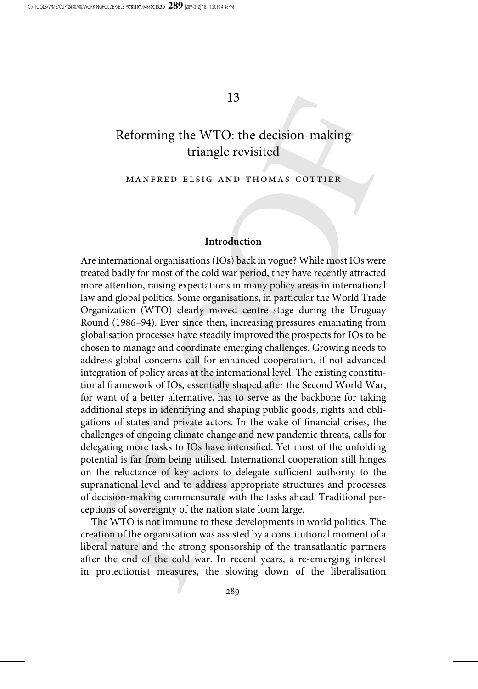13

# Reforming the WTO: the decision-making triangle revisited

manfred elsig and thomas cottier

# Introduction

13<br>
13<br>
Reforming the WTO: the decision-making<br>
triangle traingle revisited<br>
MANFRED ELSIG AND THOMAS COTTIER<br>
METRIC CONDITER<br>
Introduction<br>
Theoduction<br>
respectation of the cold war period, they have recently attracted<br> Are international organisations (IOs) back in vogue? While most IOs were treated badly for most of the cold war period, they have recently attracted more attention, raising expectations in many policy areas in international law and global politics. Some organisations, in particular the World Trade Organization (WTO) clearly moved centre stage during the Uruguay Round (1986–94). Ever since then, increasing pressures emanating from globalisation processes have steadily improved the prospects for IOs to be chosen to manage and coordinate emerging challenges. Growing needs to address global concerns call for enhanced cooperation, if not advanced integration of policy areas at the international level. The existing constitutional framework of IOs, essentially shaped after the Second World War, for want of a better alternative, has to serve as the backbone for taking additional steps in identifying and shaping public goods, rights and obligations of states and private actors. In the wake of financial crises, the challenges of ongoing climate change and new pandemic threats, calls for delegating more tasks to IOs have intensified. Yet most of the unfolding potential is far from being utilised. International cooperation still hinges on the reluctance of key actors to delegate sufficient authority to the supranational level and to address appropriate structures and processes of decision-making commensurate with the tasks ahead. Traditional perceptions of sovereignty of the nation state loom large.

The WTO is not immune to these developments in world politics. The creation of the organisation was assisted by a constitutional moment of a liberal nature and the strong sponsorship of the transatlantic partners after the end of the cold war. In recent years, a re-emerging interest in protectionist measures, the slowing down of the liberalisation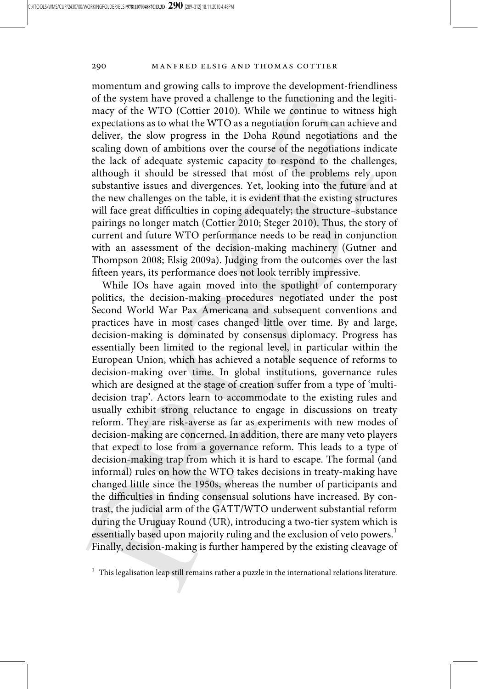momentum and growing calls to improve the development-friendliness of the system have proved a challenge to the functioning and the legitimacy of the WTO (Cottier 2010). While we continue to witness high expectations as to what the WTO as a negotiation forum can achieve and deliver, the slow progress in the Doha Round negotiations and the scaling down of ambitions over the course of the negotiations indicate the lack of adequate systemic capacity to respond to the challenges, although it should be stressed that most of the problems rely upon substantive issues and divergences. Yet, looking into the future and at the new challenges on the table, it is evident that the existing structures will face great difficulties in coping adequately; the structure–substance pairings no longer match (Cottier 2010; Steger 2010). Thus, the story of current and future WTO performance needs to be read in conjunction with an assessment of the decision-making machinery (Gutner and Thompson 2008; Elsig 2009a). Judging from the outcomes over the last fifteen years, its performance does not look terribly impressive.

of the system have proved a challenge to the tunctioning and the legit<br>content of may of the WTO (Cottier 2010). While we continue to witness hig<br>expectations as to what the WTO as a negotiation forum can achieve and<br>expe While IOs have again moved into the spotlight of contemporary politics, the decision-making procedures negotiated under the post Second World War Pax Americana and subsequent conventions and practices have in most cases changed little over time. By and large, decision-making is dominated by consensus diplomacy. Progress has essentially been limited to the regional level, in particular within the European Union, which has achieved a notable sequence of reforms to decision-making over time. In global institutions, governance rules which are designed at the stage of creation suffer from a type of 'multidecision trap'. Actors learn to accommodate to the existing rules and usually exhibit strong reluctance to engage in discussions on treaty reform. They are risk-averse as far as experiments with new modes of decision-making are concerned. In addition, there are many veto players that expect to lose from a governance reform. This leads to a type of decision-making trap from which it is hard to escape. The formal (and informal) rules on how the WTO takes decisions in treaty-making have changed little since the 1950s, whereas the number of participants and the difficulties in finding consensual solutions have increased. By contrast, the judicial arm of the GATT/WTO underwent substantial reform during the Uruguay Round (UR), introducing a two-tier system which is essentially based upon majority ruling and the exclusion of veto powers.<sup>1</sup> Finally, decision-making is further hampered by the existing cleavage of

 $^{\rm 1}$  This legalisation leap still remains rather a puzzle in the international relations literature.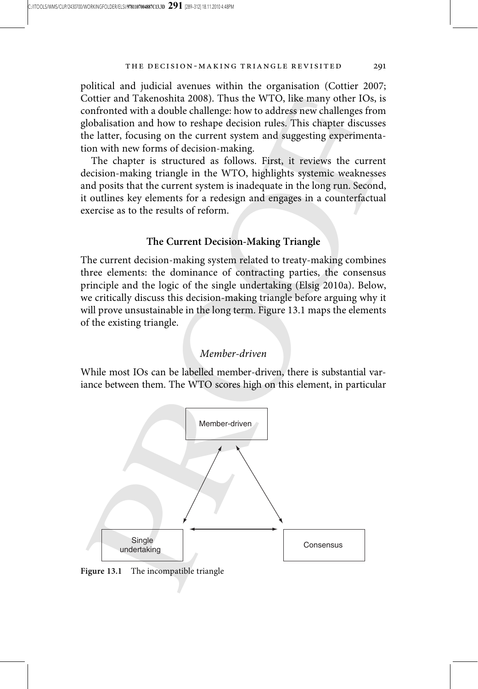political and judicial avenues within the organisation (Cottier 2007; Cottier and Takenoshita 2008). Thus the WTO, like many other IOs, is confronted with a double challenge: how to address new challenges from globalisation and how to reshape decision rules. This chapter discusses the latter, focusing on the current system and suggesting experimentation with new forms of decision-making.

The chapter is structured as follows. First, it reviews the current decision-making triangle in the WTO, highlights systemic weaknesses and posits that the current system is inadequate in the long run. Second, it outlines key elements for a redesign and engages in a counterfactual exercise as to the results of reform.

#### The Current Decision-Making Triangle

The current decision-making system related to treaty-making combines three elements: the dominance of contracting parties, the consensus principle and the logic of the single undertaking (Elsig 2010a). Below, we critically discuss this decision-making triangle before arguing why it will prove unsustainable in the long term. Figure 13.1 maps the elements of the existing triangle.

## Member-driven

While most IOs can be labelled member-driven, there is substantial variance between them. The WTO scores high on this element, in particular



Figure 13.1 The incompatible triangle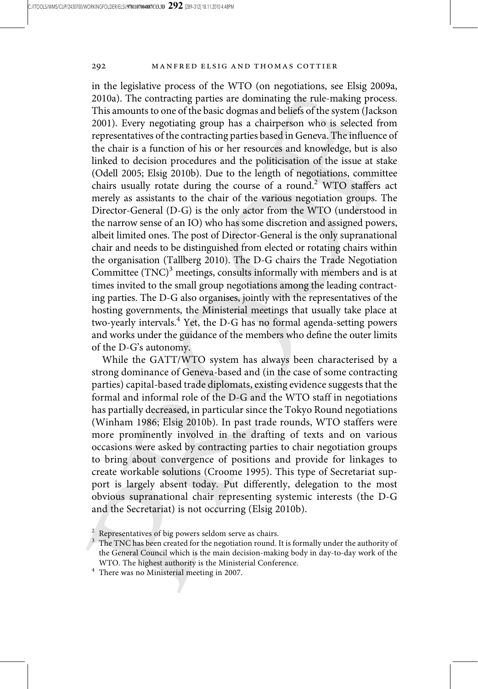200a). The contracting parties are dominating the rule-making process<br>This amounts to one of the basic dogmas and beliefs of the system (Jackso<br>2001). Every regotiating group has a chairperson who is selected from<br>example in the legislative process of the WTO (on negotiations, see Elsig 2009a, 2010a). The contracting parties are dominating the rule-making process. This amounts to one of the basic dogmas and beliefs of the system (Jackson 2001). Every negotiating group has a chairperson who is selected from representatives of the contracting parties based in Geneva. The influence of the chair is a function of his or her resources and knowledge, but is also linked to decision procedures and the politicisation of the issue at stake (Odell 2005; Elsig 2010b). Due to the length of negotiations, committee chairs usually rotate during the course of a round.<sup>2</sup> WTO staffers act merely as assistants to the chair of the various negotiation groups. The Director-General (D-G) is the only actor from the WTO (understood in the narrow sense of an IO) who has some discretion and assigned powers, albeit limited ones. The post of Director-General is the only supranational chair and needs to be distinguished from elected or rotating chairs within the organisation (Tallberg 2010). The D-G chairs the Trade Negotiation Committee  $(TNC)^3$  meetings, consults informally with members and is at times invited to the small group negotiations among the leading contracting parties. The D-G also organises, jointly with the representatives of the hosting governments, the Ministerial meetings that usually take place at two-yearly intervals.<sup>4</sup> Yet, the D-G has no formal agenda-setting powers and works under the guidance of the members who define the outer limits of the D-G's autonomy.

While the GATT/WTO system has always been characterised by a strong dominance of Geneva-based and (in the case of some contracting parties) capital-based trade diplomats, existing evidence suggests that the formal and informal role of the D-G and the WTO staff in negotiations has partially decreased, in particular since the Tokyo Round negotiations (Winham 1986; Elsig 2010b). In past trade rounds, WTO staffers were more prominently involved in the drafting of texts and on various occasions were asked by contracting parties to chair negotiation groups to bring about convergence of positions and provide for linkages to create workable solutions (Croome 1995). This type of Secretariat support is largely absent today. Put differently, delegation to the most obvious supranational chair representing systemic interests (the D-G and the Secretariat) is not occurring (Elsig 2010b).

 $^2$  Representatives of big powers seldom serve as chairs.  $^3$  The TNC has been created for the negotiation round. It is formally under the authority of the General Council which is the main decision-making body in day-to-day work of the WTO. The highest authority is the Ministerial Conference. <sup>4</sup> There was no Ministerial meeting in 2007.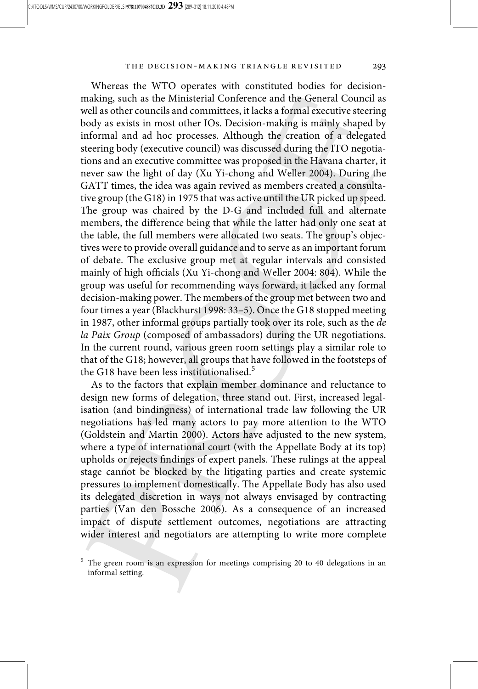alading, such as the Ministerial Conderence and the General Council as<br>elell as other councils and committees, it lacks a formal executive steering<br>ody as exists in most other IOs. Decision-making is mainly shaped by<br>if or Whereas the WTO operates with constituted bodies for decisionmaking, such as the Ministerial Conference and the General Council as well as other councils and committees, it lacks a formal executive steering body as exists in most other IOs. Decision-making is mainly shaped by informal and ad hoc processes. Although the creation of a delegated steering body (executive council) was discussed during the ITO negotiations and an executive committee was proposed in the Havana charter, it never saw the light of day (Xu Yi-chong and Weller 2004). During the GATT times, the idea was again revived as members created a consultative group (the G18) in 1975 that was active until the UR picked up speed. The group was chaired by the D-G and included full and alternate members, the difference being that while the latter had only one seat at the table, the full members were allocated two seats. The group's objectives were to provide overall guidance and to serve as an important forum of debate. The exclusive group met at regular intervals and consisted mainly of high officials (Xu Yi-chong and Weller 2004: 804). While the group was useful for recommending ways forward, it lacked any formal decision-making power. The members of the group met between two and four times a year (Blackhurst 1998: 33–5). Once the G18 stopped meeting in 1987, other informal groups partially took over its role, such as the de la Paix Group (composed of ambassadors) during the UR negotiations. In the current round, various green room settings play a similar role to that of the G18; however, all groups that have followed in the footsteps of the G18 have been less institutionalised. $5$ 

As to the factors that explain member dominance and reluctance to design new forms of delegation, three stand out. First, increased legalisation (and bindingness) of international trade law following the UR negotiations has led many actors to pay more attention to the WTO (Goldstein and Martin 2000). Actors have adjusted to the new system, where a type of international court (with the Appellate Body at its top) upholds or rejects findings of expert panels. These rulings at the appeal stage cannot be blocked by the litigating parties and create systemic pressures to implement domestically. The Appellate Body has also used its delegated discretion in ways not always envisaged by contracting parties (Van den Bossche 2006). As a consequence of an increased impact of dispute settlement outcomes, negotiations are attracting wider interest and negotiators are attempting to write more complete

<sup>5</sup> The green room is an expression for meetings comprising 20 to 40 delegations in an informal setting.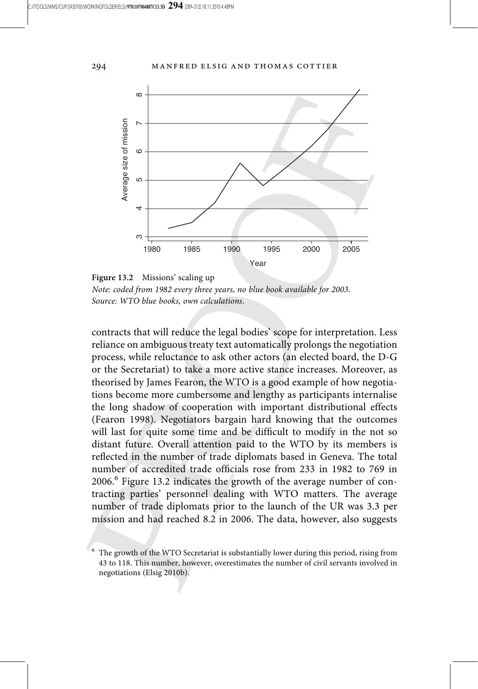

Figure 13.2 Missions' scaling up Note: coded from 1982 every three years, no blue book available for 2003. Source: WTO blue books, own calculations.

PROOF contracts that will reduce the legal bodies' scope for interpretation. Less reliance on ambiguous treaty text automatically prolongs the negotiation process, while reluctance to ask other actors (an elected board, the D-G or the Secretariat) to take a more active stance increases. Moreover, as theorised by James Fearon, the WTO is a good example of how negotiations become more cumbersome and lengthy as participants internalise the long shadow of cooperation with important distributional effects (Fearon 1998). Negotiators bargain hard knowing that the outcomes will last for quite some time and be difficult to modify in the not so distant future. Overall attention paid to the WTO by its members is reflected in the number of trade diplomats based in Geneva. The total number of accredited trade officials rose from 233 in 1982 to 769 in 2006.<sup>6</sup> Figure 13.2 indicates the growth of the average number of contracting parties' personnel dealing with WTO matters. The average number of trade diplomats prior to the launch of the UR was 3.3 per mission and had reached 8.2 in 2006. The data, however, also suggests

The growth of the WTO Secretariat is substantially lower during this period, rising from 43 to 118. This number, however, overestimates the number of civil servants involved in negotiations (Elsig 2010b).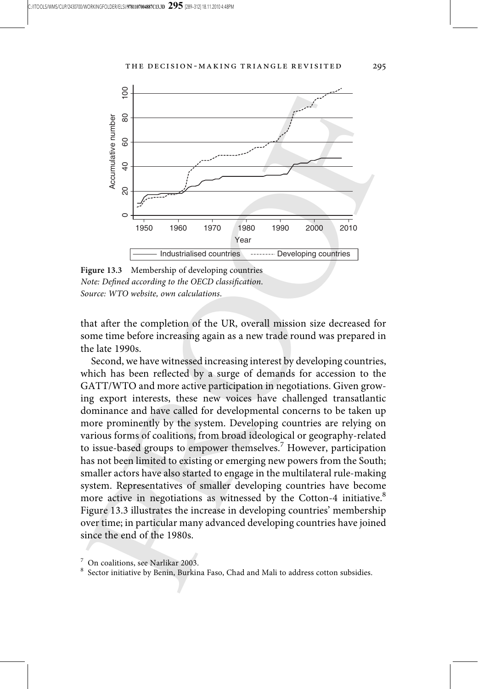

Figure 13.3 Membership of developing countries Note: Defined according to the OECD classification. Source: WTO website, own calculations.

that after the completion of the UR, overall mission size decreased for some time before increasing again as a new trade round was prepared in the late 1990s.

France Content of the USBN of the Section and Mali to dedets of the Content of the Content of the Content of the Content of the Content of the Content of the Content of the Content of the Content of the Content of the Cont Second, we have witnessed increasing interest by developing countries, which has been reflected by a surge of demands for accession to the GATT/WTO and more active participation in negotiations. Given growing export interests, these new voices have challenged transatlantic dominance and have called for developmental concerns to be taken up more prominently by the system. Developing countries are relying on various forms of coalitions, from broad ideological or geography-related to issue-based groups to empower themselves.<sup>7</sup> However, participation has not been limited to existing or emerging new powers from the South; smaller actors have also started to engage in the multilateral rule-making system. Representatives of smaller developing countries have become more active in negotiations as witnessed by the Cotton-4 initiative.<sup>8</sup> Figure 13.3 illustrates the increase in developing countries' membership over time; in particular many advanced developing countries have joined since the end of the 1980s.

 $^7$  On coalitions, see Narlikar 2003.<br>8 Sector initiative by Benin, Burkina Faso, Chad and Mali to address cotton subsidies.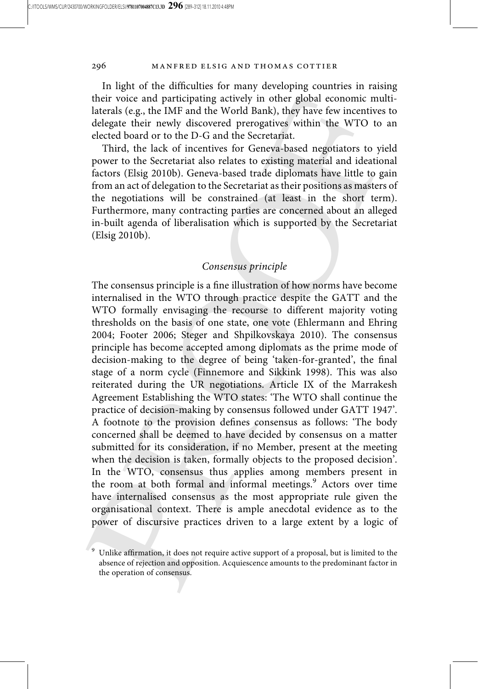In light of the difficulties for many developing countries in raising their voice and participating actively in other global economic multilaterals (e.g., the IMF and the World Bank), they have few incentives to delegate their newly discovered prerogatives within the WTO to an elected board or to the D-G and the Secretariat.

Third, the lack of incentives for Geneva-based negotiators to yield power to the Secretariat also relates to existing material and ideational factors (Elsig 2010b). Geneva-based trade diplomats have little to gain from an act of delegation to the Secretariat as their positions as masters of the negotiations will be constrained (at least in the short term). Furthermore, many contracting parties are concerned about an alleged in-built agenda of liberalisation which is supported by the Secretariat (Elsig 2010b).

# Consensus principle

their voice and participating actively in other global cononics multipure that<br>is then to the cononic multipured active the best<br>cated bosonic laterals (e.g., the IMF and the World Bank), they have few incentives<br>delegate The consensus principle is a fine illustration of how norms have become internalised in the WTO through practice despite the GATT and the WTO formally envisaging the recourse to different majority voting thresholds on the basis of one state, one vote (Ehlermann and Ehring 2004; Footer 2006; Steger and Shpilkovskaya 2010). The consensus principle has become accepted among diplomats as the prime mode of decision-making to the degree of being 'taken-for-granted', the final stage of a norm cycle (Finnemore and Sikkink 1998). This was also reiterated during the UR negotiations. Article IX of the Marrakesh Agreement Establishing the WTO states: 'The WTO shall continue the practice of decision-making by consensus followed under GATT 1947'. A footnote to the provision defines consensus as follows: 'The body concerned shall be deemed to have decided by consensus on a matter submitted for its consideration, if no Member, present at the meeting when the decision is taken, formally objects to the proposed decision'. In the WTO, consensus thus applies among members present in the room at both formal and informal meetings.<sup>9</sup> Actors over time have internalised consensus as the most appropriate rule given the organisational context. There is ample anecdotal evidence as to the power of discursive practices driven to a large extent by a logic of

Unlike affirmation, it does not require active support of a proposal, but is limited to the absence of rejection and opposition. Acquiescence amounts to the predominant factor in the operation of consensus.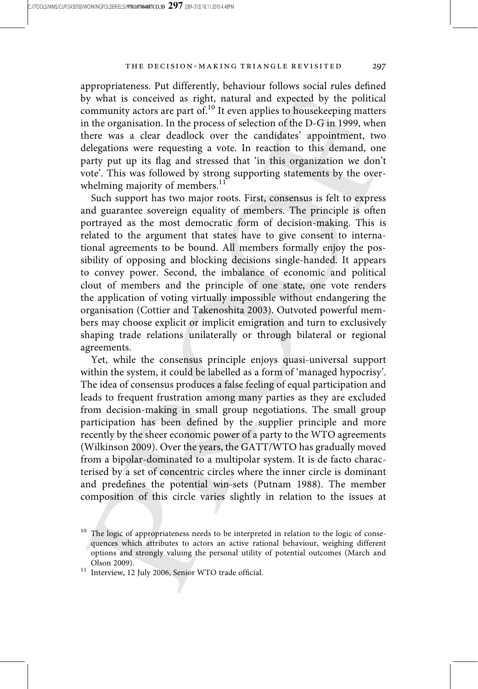appropriateness. Put differently, behaviour follows social rules defined by what is conceived as right, natural and expected by the political community actors are part of. $10$  It even applies to housekeeping matters in the organisation. In the process of selection of the D-G in 1999, when there was a clear deadlock over the candidates' appointment, two delegations were requesting a vote. In reaction to this demand, one party put up its flag and stressed that 'in this organization we don't vote'. This was followed by strong supporting statements by the overwhelming majority of members. $^{11}$ 

y what is conceived as right, hattual and expected by the political<br>ommunity actors are part of.<sup>10</sup> It even applies to housekeeping matters<br>the organisation. In the process of selection of the D-G in 1999, when<br>elegation Such support has two major roots. First, consensus is felt to express and guarantee sovereign equality of members. The principle is often portrayed as the most democratic form of decision-making. This is related to the argument that states have to give consent to international agreements to be bound. All members formally enjoy the possibility of opposing and blocking decisions single-handed. It appears to convey power. Second, the imbalance of economic and political clout of members and the principle of one state, one vote renders the application of voting virtually impossible without endangering the organisation (Cottier and Takenoshita 2003). Outvoted powerful members may choose explicit or implicit emigration and turn to exclusively shaping trade relations unilaterally or through bilateral or regional agreements.

Yet, while the consensus principle enjoys quasi-universal support within the system, it could be labelled as a form of 'managed hypocrisy'. The idea of consensus produces a false feeling of equal participation and leads to frequent frustration among many parties as they are excluded from decision-making in small group negotiations. The small group participation has been defined by the supplier principle and more recently by the sheer economic power of a party to the WTO agreements (Wilkinson 2009). Over the years, the GATT/WTO has gradually moved from a bipolar-dominated to a multipolar system. It is de facto characterised by a set of concentric circles where the inner circle is dominant and predefines the potential win-sets (Putnam 1988). The member composition of this circle varies slightly in relation to the issues at

<sup>&</sup>lt;sup>10</sup> The logic of appropriateness needs to be interpreted in relation to the logic of consequences which attributes to actors an active rational behaviour, weighing different options and strongly valuing the personal utility of potential outcomes (March and Olson 2009).  $11$  Interview, 12 July 2006, Senior WTO trade official.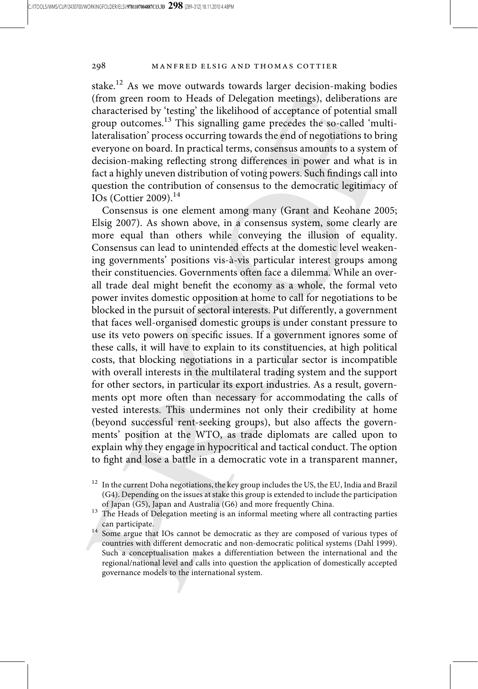stake.<sup>12</sup> As we move outwards towards larger decision-making bodies (from green room to Heads of Delegation meetings), deliberations are characterised by 'testing' the likelihood of acceptance of potential small group outcomes.<sup>13</sup> This signalling game precedes the so-called 'multilateralisation' process occurring towards the end of negotiations to bring everyone on board. In practical terms, consensus amounts to a system of decision-making reflecting strong differences in power and what is in fact a highly uneven distribution of voting powers. Such findings call into question the contribution of consensus to the democratic legitimacy of IOs (Cottier 2009).<sup>14</sup>

(from green room to Irleads of Delegation meetings), deliberations and<br>characterised by 'testing' the likelihood of acceptance of potential sma<br>group outcomes.<sup>13</sup> This signalling game precedes the so-called 'mult<br>atteral Consensus is one element among many (Grant and Keohane 2005; Elsig 2007). As shown above, in a consensus system, some clearly are more equal than others while conveying the illusion of equality. Consensus can lead to unintended effects at the domestic level weakening governments' positions vis-à-vis particular interest groups among their constituencies. Governments often face a dilemma. While an overall trade deal might benefit the economy as a whole, the formal veto power invites domestic opposition at home to call for negotiations to be blocked in the pursuit of sectoral interests. Put differently, a government that faces well-organised domestic groups is under constant pressure to use its veto powers on specific issues. If a government ignores some of these calls, it will have to explain to its constituencies, at high political costs, that blocking negotiations in a particular sector is incompatible with overall interests in the multilateral trading system and the support for other sectors, in particular its export industries. As a result, governments opt more often than necessary for accommodating the calls of vested interests. This undermines not only their credibility at home (beyond successful rent-seeking groups), but also affects the governments' position at the WTO, as trade diplomats are called upon to explain why they engage in hypocritical and tactical conduct. The option to fight and lose a battle in a democratic vote in a transparent manner,

 $^{12}\,$  In the current Doha negotiations, the key group includes the US, the EU, India and Brazil (G4). Depending on the issues at stake this group is extended to include the participation

of Japan (G5), Japan and Australia (G6) and more frequently China.  $13$  The Heads of Delegation meeting is an informal meeting where all contracting parties

can participate.  $14$  Some argue that IOs cannot be democratic as they are composed of various types of countries with different democratic and non-democratic political systems (Dahl 1999). Such a conceptualisation makes a differentiation between the international and the regional/national level and calls into question the application of domestically accepted governance models to the international system.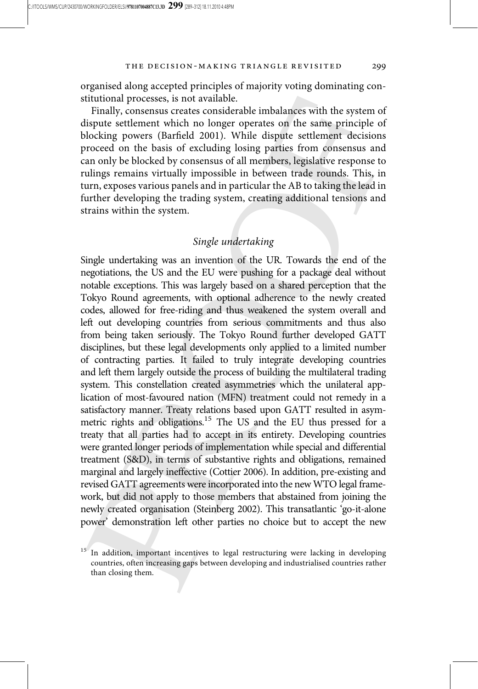organised along accepted principles of majority voting dominating constitutional processes, is not available.

Finally, consensus creates considerable imbalances with the system of dispute settlement which no longer operates on the same principle of blocking powers (Barfield 2001). While dispute settlement decisions proceed on the basis of excluding losing parties from consensus and can only be blocked by consensus of all members, legislative response to rulings remains virtually impossible in between trade rounds. This, in turn, exposes various panels and in particular the AB to taking the lead in further developing the trading system, creating additional tensions and strains within the system.

# Single undertaking

litutional processes, is not available.<br>In Finally, consensus creates considerable imbalances with the system of<br>ispute settlement which no longer operates on the same principle of<br>locking powers (Barifeld 2001). While dis Single undertaking was an invention of the UR. Towards the end of the negotiations, the US and the EU were pushing for a package deal without notable exceptions. This was largely based on a shared perception that the Tokyo Round agreements, with optional adherence to the newly created codes, allowed for free-riding and thus weakened the system overall and left out developing countries from serious commitments and thus also from being taken seriously. The Tokyo Round further developed GATT disciplines, but these legal developments only applied to a limited number of contracting parties. It failed to truly integrate developing countries and left them largely outside the process of building the multilateral trading system. This constellation created asymmetries which the unilateral application of most-favoured nation (MFN) treatment could not remedy in a satisfactory manner. Treaty relations based upon GATT resulted in asymmetric rights and obligations.<sup>15</sup> The US and the EU thus pressed for a treaty that all parties had to accept in its entirety. Developing countries were granted longer periods of implementation while special and differential treatment (S&D), in terms of substantive rights and obligations, remained marginal and largely ineffective (Cottier 2006). In addition, pre-existing and revised GATT agreements were incorporated into the new WTO legal framework, but did not apply to those members that abstained from joining the newly created organisation (Steinberg 2002). This transatlantic 'go-it-alone power' demonstration left other parties no choice but to accept the new

<sup>&</sup>lt;sup>15</sup> In addition, important incentives to legal restructuring were lacking in developing countries, often increasing gaps between developing and industrialised countries rather than closing them.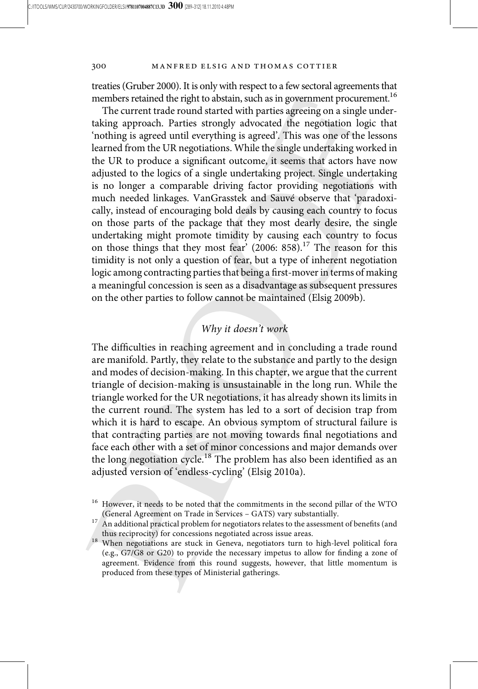treaties (Gruber 2000). It is only with respect to a few sectoral agreements that members retained the right to abstain, such as in government procurement.<sup>16</sup>

members retained the right to abstain, such as in government procurement.<br>The current trade round started with parties agreeing on a single under<br>laking approach. Parties strongly advocated the negotiation logic that<br>incr The current trade round started with parties agreeing on a single undertaking approach. Parties strongly advocated the negotiation logic that 'nothing is agreed until everything is agreed'. This was one of the lessons learned from the UR negotiations. While the single undertaking worked in the UR to produce a significant outcome, it seems that actors have now adjusted to the logics of a single undertaking project. Single undertaking is no longer a comparable driving factor providing negotiations with much needed linkages. VanGrasstek and Sauvé observe that 'paradoxically, instead of encouraging bold deals by causing each country to focus on those parts of the package that they most dearly desire, the single undertaking might promote timidity by causing each country to focus on those things that they most fear' (2006: 858).<sup>17</sup> The reason for this timidity is not only a question of fear, but a type of inherent negotiation logic among contracting parties that being a first-mover in terms of making a meaningful concession is seen as a disadvantage as subsequent pressures on the other parties to follow cannot be maintained (Elsig 2009b).

# Why it doesn't work

The difficulties in reaching agreement and in concluding a trade round are manifold. Partly, they relate to the substance and partly to the design and modes of decision-making. In this chapter, we argue that the current triangle of decision-making is unsustainable in the long run. While the triangle worked for the UR negotiations, it has already shown its limits in the current round. The system has led to a sort of decision trap from which it is hard to escape. An obvious symptom of structural failure is that contracting parties are not moving towards final negotiations and face each other with a set of minor concessions and major demands over the long negotiation cycle.<sup>18</sup> The problem has also been identified as an adjusted version of 'endless-cycling' (Elsig 2010a).

 $16$  However, it needs to be noted that the commitments in the second pillar of the WTO (General Agreement on Trade in Services – GATS) vary substantially.

An additional practical problem for negotiators relates to the assessment of benefits (and

thus reciprocity) for concessions negotiated across issue areas.<br><sup>18</sup> When negotiations are stuck in Geneva, negotiators turn to high-level political fora (e.g., G7/G8 or G20) to provide the necessary impetus to allow for finding a zone of agreement. Evidence from this round suggests, however, that little momentum is produced from these types of Ministerial gatherings.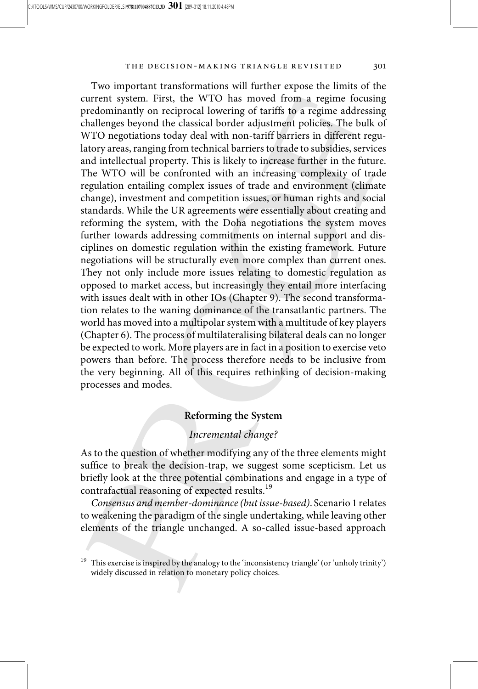urent system. First, the WTO has moved from a regime locusing reduction<br>redominantly on reciprocal lowering of tariffs to a regime addressing<br>hallenges beyond the classical border adjustment policies. The bulk of<br>VTO nego Two important transformations will further expose the limits of the current system. First, the WTO has moved from a regime focusing predominantly on reciprocal lowering of tariffs to a regime addressing challenges beyond the classical border adjustment policies. The bulk of WTO negotiations today deal with non-tariff barriers in different regulatory areas, ranging from technical barriers to trade to subsidies, services and intellectual property. This is likely to increase further in the future. The WTO will be confronted with an increasing complexity of trade regulation entailing complex issues of trade and environment (climate change), investment and competition issues, or human rights and social standards. While the UR agreements were essentially about creating and reforming the system, with the Doha negotiations the system moves further towards addressing commitments on internal support and disciplines on domestic regulation within the existing framework. Future negotiations will be structurally even more complex than current ones. They not only include more issues relating to domestic regulation as opposed to market access, but increasingly they entail more interfacing with issues dealt with in other IOs (Chapter 9). The second transformation relates to the waning dominance of the transatlantic partners. The world has moved into a multipolar system with a multitude of key players (Chapter 6). The process of multilateralising bilateral deals can no longer be expected to work. More players are in fact in a position to exercise veto powers than before. The process therefore needs to be inclusive from the very beginning. All of this requires rethinking of decision-making processes and modes.

#### Reforming the System

## Incremental change?

As to the question of whether modifying any of the three elements might suffice to break the decision-trap, we suggest some scepticism. Let us briefly look at the three potential combinations and engage in a type of contrafactual reasoning of expected results.<sup>19</sup>

Consensus and member-dominance (but issue-based). Scenario 1 relates to weakening the paradigm of the single undertaking, while leaving other elements of the triangle unchanged. A so-called issue-based approach

This exercise is inspired by the analogy to the 'inconsistency triangle' (or 'unholy trinity') widely discussed in relation to monetary policy choices.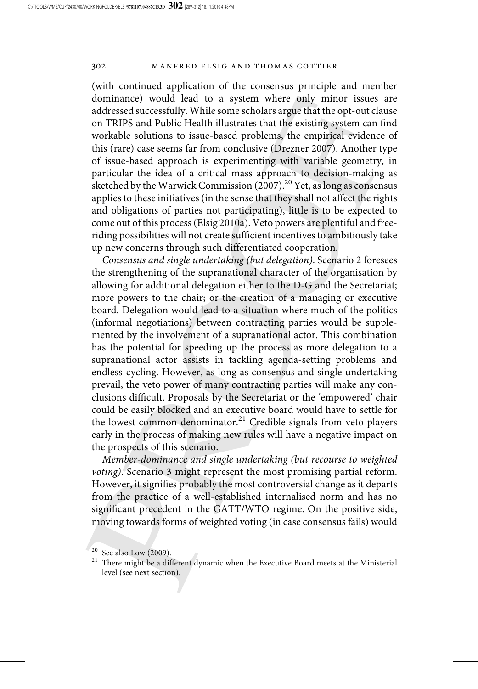#### 302 manfred els ig and thomas cott ier

(with continued application of the consensus principle and member dominance) would lead to a system where only minor issues are addressed successfully. While some scholars argue that the opt-out clause on TRIPS and Public Health illustrates that the existing system can find workable solutions to issue-based problems, the empirical evidence of this (rare) case seems far from conclusive (Drezner 2007). Another type of issue-based approach is experimenting with variable geometry, in particular the idea of a critical mass approach to decision-making as sketched by the Warwick Commission  $(2007)^{20}$  Yet, as long as consensus applies to these initiatives (in the sense that they shall not affect the rights and obligations of parties not participating), little is to be expected to come out of this process (Elsig 2010a). Veto powers are plentiful and freeriding possibilities will not create sufficient incentives to ambitiously take up new concerns through such differentiated cooperation.

dominance) would lead to a system where only minior issues and<br>enseas and essente where of the member of the protocol dates<br>seed successfully. While some scholars argue that the cpit-out claus<br>on TRIPS and Public Health i Consensus and single undertaking (but delegation). Scenario 2 foresees the strengthening of the supranational character of the organisation by allowing for additional delegation either to the D-G and the Secretariat; more powers to the chair; or the creation of a managing or executive board. Delegation would lead to a situation where much of the politics (informal negotiations) between contracting parties would be supplemented by the involvement of a supranational actor. This combination has the potential for speeding up the process as more delegation to a supranational actor assists in tackling agenda-setting problems and endless-cycling. However, as long as consensus and single undertaking prevail, the veto power of many contracting parties will make any conclusions difficult. Proposals by the Secretariat or the 'empowered' chair could be easily blocked and an executive board would have to settle for the lowest common denominator.<sup>21</sup> Credible signals from veto players early in the process of making new rules will have a negative impact on the prospects of this scenario.

Member-dominance and single undertaking (but recourse to weighted voting). Scenario 3 might represent the most promising partial reform. However, it signifies probably the most controversial change as it departs from the practice of a well-established internalised norm and has no significant precedent in the GATT/WTO regime. On the positive side, moving towards forms of weighted voting (in case consensus fails) would

<sup>&</sup>lt;sup>20</sup> See also Low (2009). <sup>20</sup> There might be a different dynamic when the Executive Board meets at the Ministerial level (see next section).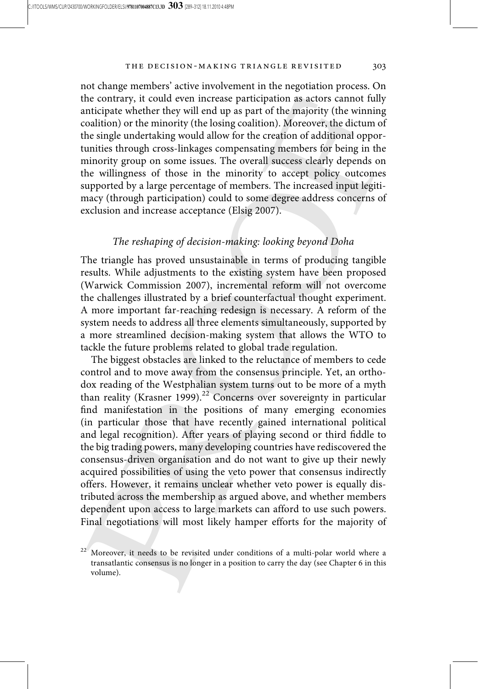not change members' active involvement in the negotiation process. On the contrary, it could even increase participation as actors cannot fully anticipate whether they will end up as part of the majority (the winning coalition) or the minority (the losing coalition). Moreover, the dictum of the single undertaking would allow for the creation of additional opportunities through cross-linkages compensating members for being in the minority group on some issues. The overall success clearly depends on the willingness of those in the minority to accept policy outcomes supported by a large percentage of members. The increased input legitimacy (through participation) could to some degree address concerns of exclusion and increase acceptance (Elsig 2007).

## The reshaping of decision-making: looking beyond Doha

The triangle has proved unsustainable in terms of producing tangible results. While adjustments to the existing system have been proposed (Warwick Commission 2007), incremental reform will not overcome the challenges illustrated by a brief counterfactual thought experiment. A more important far-reaching redesign is necessary. A reform of the system needs to address all three elements simultaneously, supported by a more streamlined decision-making system that allows the WTO to tackle the future problems related to global trade regulation.

ic contrary, it could even increase participation as a<br>close to the majority (the winning calition) or the minority (the winning<br>adition) or the minority (the losing coalition)). Moreover, the dictum of<br>essingle undertakin The biggest obstacles are linked to the reluctance of members to cede control and to move away from the consensus principle. Yet, an orthodox reading of the Westphalian system turns out to be more of a myth than reality (Krasner 1999).<sup>22</sup> Concerns over sovereignty in particular find manifestation in the positions of many emerging economies (in particular those that have recently gained international political and legal recognition). After years of playing second or third fiddle to the big trading powers, many developing countries have rediscovered the consensus-driven organisation and do not want to give up their newly acquired possibilities of using the veto power that consensus indirectly offers. However, it remains unclear whether veto power is equally distributed across the membership as argued above, and whether members dependent upon access to large markets can afford to use such powers. Final negotiations will most likely hamper efforts for the majority of

<sup>&</sup>lt;sup>22</sup> Moreover, it needs to be revisited under conditions of a multi-polar world where a transatlantic consensus is no longer in a position to carry the day (see Chapter 6 in this volume).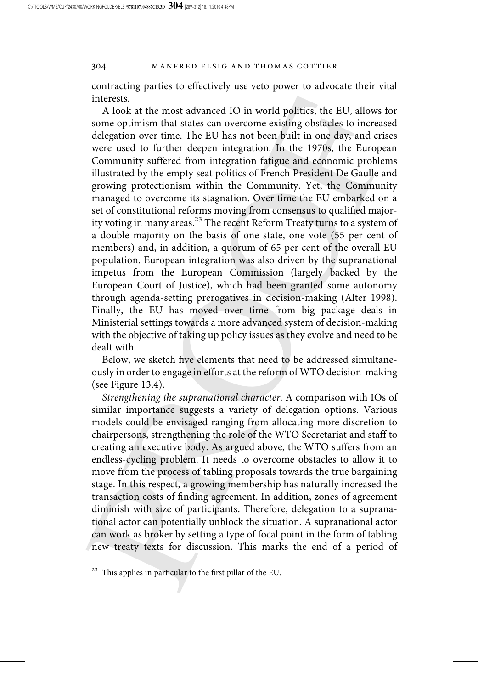contracting parties to effectively use veto power to advocate their vital interests.

interests.<br>
A look at the most advanced IO in world politics, the EU, allows for<br>
some optimism that states can overcome existing obstacles to increase<br>
delegation over time. The EU has not been built in one day, and cris A look at the most advanced IO in world politics, the EU, allows for some optimism that states can overcome existing obstacles to increased delegation over time. The EU has not been built in one day, and crises were used to further deepen integration. In the 1970s, the European Community suffered from integration fatigue and economic problems illustrated by the empty seat politics of French President De Gaulle and growing protectionism within the Community. Yet, the Community managed to overcome its stagnation. Over time the EU embarked on a set of constitutional reforms moving from consensus to qualified majority voting in many areas.<sup>23</sup> The recent Reform Treaty turns to a system of a double majority on the basis of one state, one vote (55 per cent of members) and, in addition, a quorum of 65 per cent of the overall EU population. European integration was also driven by the supranational impetus from the European Commission (largely backed by the European Court of Justice), which had been granted some autonomy through agenda-setting prerogatives in decision-making (Alter 1998). Finally, the EU has moved over time from big package deals in Ministerial settings towards a more advanced system of decision-making with the objective of taking up policy issues as they evolve and need to be dealt with.

Below, we sketch five elements that need to be addressed simultaneously in order to engage in efforts at the reform of WTO decision-making (see Figure 13.4).

Strengthening the supranational character. A comparison with IOs of similar importance suggests a variety of delegation options. Various models could be envisaged ranging from allocating more discretion to chairpersons, strengthening the role of the WTO Secretariat and staff to creating an executive body. As argued above, the WTO suffers from an endless-cycling problem. It needs to overcome obstacles to allow it to move from the process of tabling proposals towards the true bargaining stage. In this respect, a growing membership has naturally increased the transaction costs of finding agreement. In addition, zones of agreement diminish with size of participants. Therefore, delegation to a supranational actor can potentially unblock the situation. A supranational actor can work as broker by setting a type of focal point in the form of tabling new treaty texts for discussion. This marks the end of a period of

<sup>&</sup>lt;sup>23</sup> This applies in particular to the first pillar of the EU.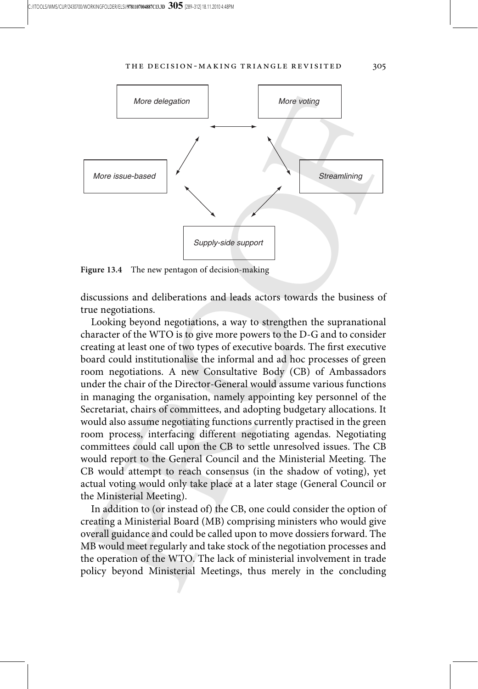

Figure 13.4 The new pentagon of decision-making

discussions and deliberations and leads actors towards the business of true negotiations.

More delegation<br>
More issue-based<br>
More issue-based<br>
Provides authorities and the summarized and the community of the community<br>
Successive and deliberations and leads actors towards the business of<br>
rue ragotiations.<br>
is Looking beyond negotiations, a way to strengthen the supranational character of the WTO is to give more powers to the D-G and to consider creating at least one of two types of executive boards. The first executive board could institutionalise the informal and ad hoc processes of green room negotiations. A new Consultative Body (CB) of Ambassadors under the chair of the Director-General would assume various functions in managing the organisation, namely appointing key personnel of the Secretariat, chairs of committees, and adopting budgetary allocations. It would also assume negotiating functions currently practised in the green room process, interfacing different negotiating agendas. Negotiating committees could call upon the CB to settle unresolved issues. The CB would report to the General Council and the Ministerial Meeting. The CB would attempt to reach consensus (in the shadow of voting), yet actual voting would only take place at a later stage (General Council or the Ministerial Meeting).

In addition to (or instead of) the CB, one could consider the option of creating a Ministerial Board (MB) comprising ministers who would give overall guidance and could be called upon to move dossiers forward. The MB would meet regularly and take stock of the negotiation processes and the operation of the WTO. The lack of ministerial involvement in trade policy beyond Ministerial Meetings, thus merely in the concluding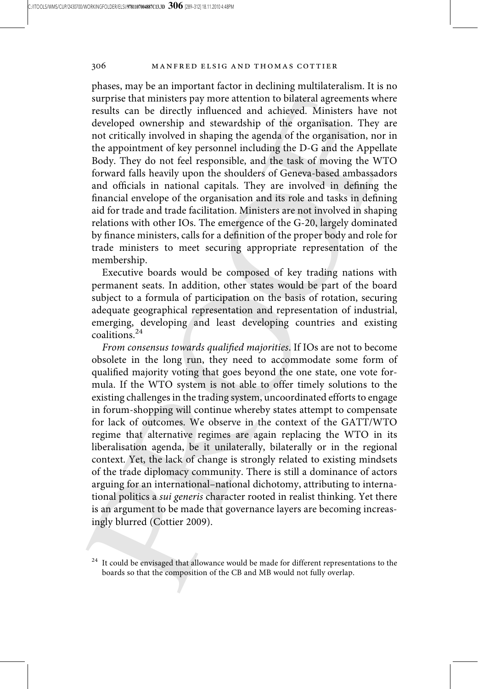phases, may be an important factor in declining multilateralism. It is no surprise that ministers pay more attention to bilateral agreements where results can be directly influenced and achieved. Ministers have not developed ownership and stewardship of the organisation. They are not critically involved in shaping the agenda of the organisation, nor in the appointment of key personnel including the D-G and the Appellate Body. They do not feel responsible, and the task of moving the WTO forward falls heavily upon the shoulders of Geneva-based ambassadors and officials in national capitals. They are involved in defining the financial envelope of the organisation and its role and tasks in defining aid for trade and trade facilitation. Ministers are not involved in shaping relations with other IOs. The emergence of the G-20, largely dominated by finance ministers, calls for a definition of the proper body and role for trade ministers to meet securing appropriate representation of the membership.

Executive boards would be composed of key trading nations with permanent seats. In addition, other states would be part of the board subject to a formula of participation on the basis of rotation, securing adequate geographical representation and representation of industrial, emerging, developing and least developing countries and existing coalitions.<sup>24</sup>

stryriske that ministers pay more attention to bilateral agreements when<br>results can be directly influenced and achieved. Ministers have not<br>eveloped overeship and stewardship of the organisation. They a not critically in From consensus towards qualified majorities. If IOs are not to become obsolete in the long run, they need to accommodate some form of qualified majority voting that goes beyond the one state, one vote formula. If the WTO system is not able to offer timely solutions to the existing challenges in the trading system, uncoordinated efforts to engage in forum-shopping will continue whereby states attempt to compensate for lack of outcomes. We observe in the context of the GATT/WTO regime that alternative regimes are again replacing the WTO in its liberalisation agenda, be it unilaterally, bilaterally or in the regional context. Yet, the lack of change is strongly related to existing mindsets of the trade diplomacy community. There is still a dominance of actors arguing for an international–national dichotomy, attributing to international politics a sui generis character rooted in realist thinking. Yet there is an argument to be made that governance layers are becoming increasingly blurred (Cottier 2009).

<sup>&</sup>lt;sup>24</sup> It could be envisaged that allowance would be made for different representations to the boards so that the composition of the CB and MB would not fully overlap.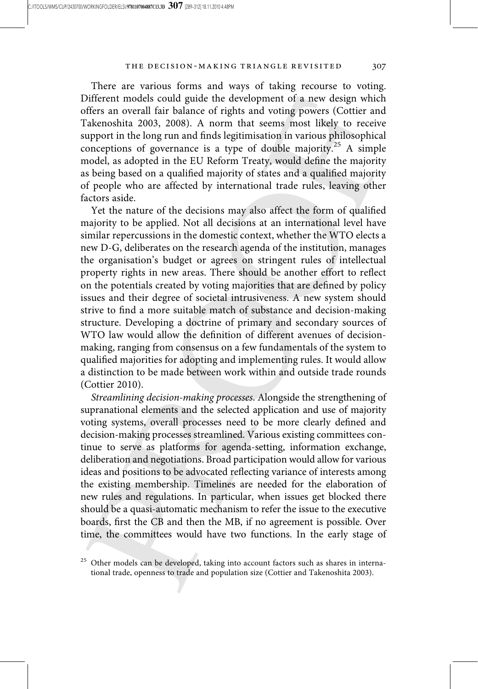There are various forms and ways of taking recourse to voting. Different models could guide the development of a new design which offers an overall fair balance of rights and voting powers (Cottier and Takenoshita 2003, 2008). A norm that seems most likely to receive support in the long run and finds legitimisation in various philosophical conceptions of governance is a type of double majority.<sup>25</sup> A simple model, as adopted in the EU Reform Treaty, would define the majority as being based on a qualified majority of states and a qualified majority of people who are affected by international trade rules, leaving other factors aside.

Different models could gluide the development of a new design which<br>methom overall fair balance of rights and voting powers (Cottier and<br>akenoshita 2003, 2008). A norm that seems most likely to receive<br>upport in the long Yet the nature of the decisions may also affect the form of qualified majority to be applied. Not all decisions at an international level have similar repercussions in the domestic context, whether the WTO elects a new D-G, deliberates on the research agenda of the institution, manages the organisation's budget or agrees on stringent rules of intellectual property rights in new areas. There should be another effort to reflect on the potentials created by voting majorities that are defined by policy issues and their degree of societal intrusiveness. A new system should strive to find a more suitable match of substance and decision-making structure. Developing a doctrine of primary and secondary sources of WTO law would allow the definition of different avenues of decisionmaking, ranging from consensus on a few fundamentals of the system to qualified majorities for adopting and implementing rules. It would allow a distinction to be made between work within and outside trade rounds (Cottier 2010).

Streamlining decision-making processes. Alongside the strengthening of supranational elements and the selected application and use of majority voting systems, overall processes need to be more clearly defined and decision-making processes streamlined. Various existing committees continue to serve as platforms for agenda-setting, information exchange, deliberation and negotiations. Broad participation would allow for various ideas and positions to be advocated reflecting variance of interests among the existing membership. Timelines are needed for the elaboration of new rules and regulations. In particular, when issues get blocked there should be a quasi-automatic mechanism to refer the issue to the executive boards, first the CB and then the MB, if no agreement is possible. Over time, the committees would have two functions. In the early stage of

<sup>&</sup>lt;sup>25</sup> Other models can be developed, taking into account factors such as shares in international trade, openness to trade and population size (Cottier and Takenoshita 2003).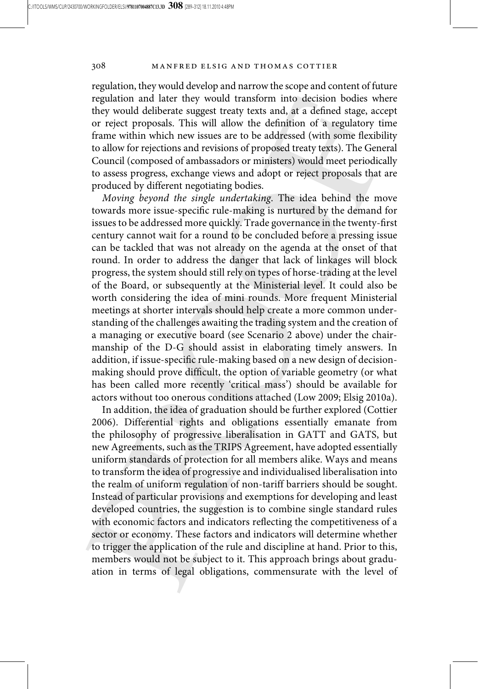#### 308 manfred els ig and thomas cott ier

regulation, they would develop and narrow the scope and content of future regulation and later they would transform into decision bodies where they would deliberate suggest treaty texts and, at a defined stage, accept or reject proposals. This will allow the definition of a regulatory time frame within which new issues are to be addressed (with some flexibility to allow for rejections and revisions of proposed treaty texts). The General Council (composed of ambassadors or ministers) would meet periodically to assess progress, exchange views and adopt or reject proposals that are produced by different negotiating bodies.

regulation and later they would transform into decision books when<br>requlation and deliberate suggest treaty texts and, at a defined stage, accept<br>or reject proposals. This will allow the definition of a regulatory tin<br>fra Moving beyond the single undertaking. The idea behind the move towards more issue-specific rule-making is nurtured by the demand for issues to be addressed more quickly. Trade governance in the twenty-first century cannot wait for a round to be concluded before a pressing issue can be tackled that was not already on the agenda at the onset of that round. In order to address the danger that lack of linkages will block progress, the system should still rely on types of horse-trading at the level of the Board, or subsequently at the Ministerial level. It could also be worth considering the idea of mini rounds. More frequent Ministerial meetings at shorter intervals should help create a more common understanding of the challenges awaiting the trading system and the creation of a managing or executive board (see Scenario 2 above) under the chairmanship of the D-G should assist in elaborating timely answers. In addition, if issue-specific rule-making based on a new design of decisionmaking should prove difficult, the option of variable geometry (or what has been called more recently 'critical mass') should be available for actors without too onerous conditions attached (Low 2009; Elsig 2010a).

In addition, the idea of graduation should be further explored (Cottier 2006). Differential rights and obligations essentially emanate from the philosophy of progressive liberalisation in GATT and GATS, but new Agreements, such as the TRIPS Agreement, have adopted essentially uniform standards of protection for all members alike. Ways and means to transform the idea of progressive and individualised liberalisation into the realm of uniform regulation of non-tariff barriers should be sought. Instead of particular provisions and exemptions for developing and least developed countries, the suggestion is to combine single standard rules with economic factors and indicators reflecting the competitiveness of a sector or economy. These factors and indicators will determine whether to trigger the application of the rule and discipline at hand. Prior to this, members would not be subject to it. This approach brings about graduation in terms of legal obligations, commensurate with the level of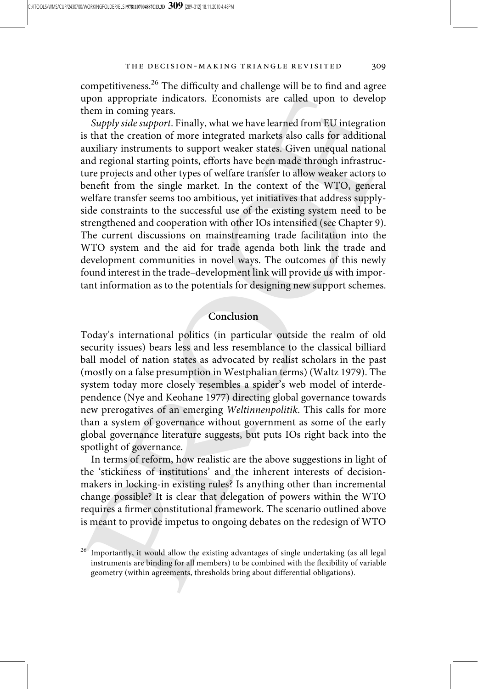/ITOOLS/WMS/CUP/2430700/WORKINGFOLDER/ELSI/**9781107004887C13.3D**  $\,309\,$  [289–312] 18.11.2010 4:48PM

competitiveness.<sup>26</sup> The difficulty and challenge will be to find and agree upon appropriate indicators. Economists are called upon to develop them in coming years.

pon appropriate indicators. Economists are called upon to develop<br>pon ampropriate indicators. Economists are called upon to develop<br>Supply side support. Finally, what we have learned from EU integration<br>that the creation o Supply side support. Finally, what we have learned from EU integration is that the creation of more integrated markets also calls for additional auxiliary instruments to support weaker states. Given unequal national and regional starting points, efforts have been made through infrastructure projects and other types of welfare transfer to allow weaker actors to benefit from the single market. In the context of the WTO, general welfare transfer seems too ambitious, yet initiatives that address supplyside constraints to the successful use of the existing system need to be strengthened and cooperation with other IOs intensified (see Chapter 9). The current discussions on mainstreaming trade facilitation into the WTO system and the aid for trade agenda both link the trade and development communities in novel ways. The outcomes of this newly found interest in the trade–development link will provide us with important information as to the potentials for designing new support schemes.

## Conclusion

Today's international politics (in particular outside the realm of old security issues) bears less and less resemblance to the classical billiard ball model of nation states as advocated by realist scholars in the past (mostly on a false presumption in Westphalian terms) (Waltz 1979). The system today more closely resembles a spider's web model of interdependence (Nye and Keohane 1977) directing global governance towards new prerogatives of an emerging Weltinnenpolitik. This calls for more than a system of governance without government as some of the early global governance literature suggests, but puts IOs right back into the spotlight of governance.

In terms of reform, how realistic are the above suggestions in light of the 'stickiness of institutions' and the inherent interests of decisionmakers in locking-in existing rules? Is anything other than incremental change possible? It is clear that delegation of powers within the WTO requires a firmer constitutional framework. The scenario outlined above is meant to provide impetus to ongoing debates on the redesign of WTO

<sup>&</sup>lt;sup>26</sup> Importantly, it would allow the existing advantages of single undertaking (as all legal instruments are binding for all members) to be combined with the flexibility of variable geometry (within agreements, thresholds bring about differential obligations).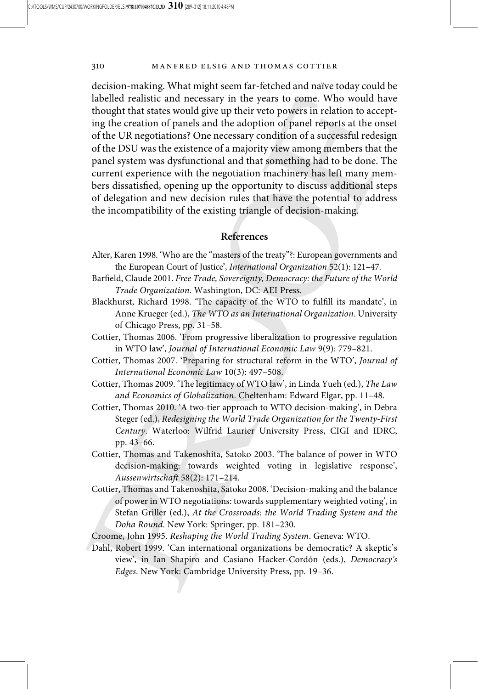labelled realistic and necessary in the years to come. Who would have<br>thought that states would give up their veto powers in relation to accept<br>ing the creation of panels and the adoption of panel reports at the onset<br>of decision-making. What might seem far-fetched and naïve today could be labelled realistic and necessary in the years to come. Who would have thought that states would give up their veto powers in relation to accepting the creation of panels and the adoption of panel reports at the onset of the UR negotiations? One necessary condition of a successful redesign of the DSU was the existence of a majority view among members that the panel system was dysfunctional and that something had to be done. The current experience with the negotiation machinery has left many members dissatisfied, opening up the opportunity to discuss additional steps of delegation and new decision rules that have the potential to address the incompatibility of the existing triangle of decision-making.

## References

- Alter, Karen 1998. 'Who are the "masters of the treaty"?: European governments and the European Court of Justice', International Organization 52(1): 121–47.
- Barfield, Claude 2001. Free Trade, Sovereignty, Democracy: the Future of the World Trade Organization. Washington, DC: AEI Press.
- Blackhurst, Richard 1998. 'The capacity of the WTO to fulfill its mandate', in Anne Krueger (ed.), The WTO as an International Organization. University of Chicago Press, pp. 31–58.
- Cottier, Thomas 2006. 'From progressive liberalization to progressive regulation in WTO law', Journal of International Economic Law 9(9): 779–821.
- Cottier, Thomas 2007. 'Preparing for structural reform in the WTO', Journal of International Economic Law 10(3): 497–508.
- Cottier, Thomas 2009. 'The legitimacy of WTO law', in Linda Yueh (ed.), The Law and Economics of Globalization. Cheltenham: Edward Elgar, pp. 11–48.
- Cottier, Thomas 2010. 'A two-tier approach to WTO decision-making', in Debra Steger (ed.), Redesigning the World Trade Organization for the Twenty-First Century. Waterloo: Wilfrid Laurier University Press, CIGI and IDRC, pp. 43–66.
- Cottier, Thomas and Takenoshita, Satoko 2003. 'The balance of power in WTO decision-making: towards weighted voting in legislative response', Aussenwirtschaft 58(2): 171–214.
- Cottier, Thomas and Takenoshita, Satoko 2008. 'Decision-making and the balance of power in WTO negotiations: towards supplementary weighted voting', in Stefan Griller (ed.), At the Crossroads: the World Trading System and the Doha Round. New York: Springer, pp. 181–230.

Croome, John 1995. Reshaping the World Trading System. Geneva: WTO.

Dahl, Robert 1999. 'Can international organizations be democratic? A skeptic's view', in Ian Shapiro and Casiano Hacker-Cordón (eds.), Democracy's Edges. New York: Cambridge University Press, pp. 19–36.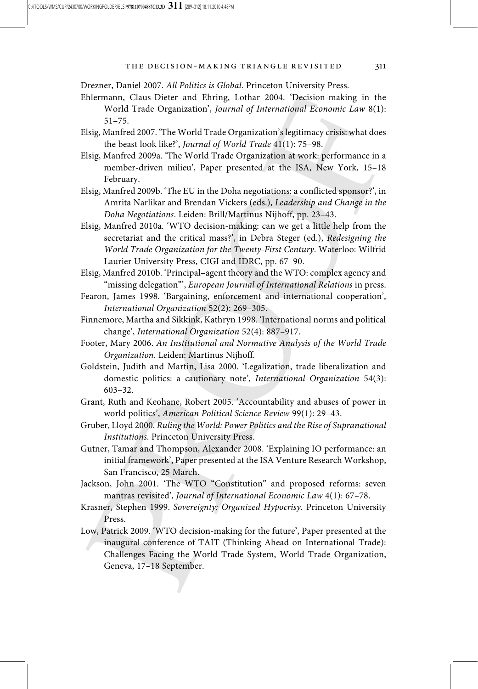Drezner, Daniel 2007. All Politics is Global. Princeton University Press.

- Ehlermann, Claus-Dieter and Ehring, Lothar 2004. 'Decision-making in the World Trade Organization', Journal of International Economic Law 8(1): 51–75.
- Elsig, Manfred 2007. 'The World Trade Organization's legitimacy crisis: what does the beast look like?', Journal of World Trade 41(1): 75–98.
- Elsig, Manfred 2009a. 'The World Trade Organization at work: performance in a member-driven milieu', Paper presented at the ISA, New York, 15–18 February.
- Elsig, Manfred 2009b. 'The EU in the Doha negotiations: a conflicted sponsor?', in Amrita Narlikar and Brendan Vickers (eds.), Leadership and Change in the Doha Negotiations. Leiden: Brill/Martinus Nijhoff, pp. 23–43.
- Internant, Clausi-Diret and Enting. Lottar 2004. Decision makes the state of the magnitude of the state of the magnitude of the state of the state of the state of the state of the state of the state of the state of the st Elsig, Manfred 2010a. 'WTO decision-making: can we get a little help from the secretariat and the critical mass?', in Debra Steger (ed.), Redesigning the World Trade Organization for the Twenty-First Century. Waterloo: Wilfrid Laurier University Press, CIGI and IDRC, pp. 67–90.
- Elsig, Manfred 2010b. 'Principal–agent theory and the WTO: complex agency and "missing delegation"', European Journal of International Relations in press.
- Fearon, James 1998. 'Bargaining, enforcement and international cooperation', International Organization 52(2): 269–305.
- Finnemore, Martha and Sikkink, Kathryn 1998. 'International norms and political change', International Organization 52(4): 887–917.
- Footer, Mary 2006. An Institutional and Normative Analysis of the World Trade Organization. Leiden: Martinus Nijhoff.
- Goldstein, Judith and Martin, Lisa 2000. 'Legalization, trade liberalization and domestic politics: a cautionary note', International Organization 54(3): 603–32.
- Grant, Ruth and Keohane, Robert 2005. 'Accountability and abuses of power in world politics', American Political Science Review 99(1): 29–43.
- Gruber, Lloyd 2000. Ruling the World: Power Politics and the Rise of Supranational Institutions. Princeton University Press.
- Gutner, Tamar and Thompson, Alexander 2008. 'Explaining IO performance: an initial framework', Paper presented at the ISA Venture Research Workshop, San Francisco, 25 March.
- Jackson, John 2001. 'The WTO "Constitution" and proposed reforms: seven mantras revisited', Journal of International Economic Law 4(1): 67–78.
- Krasner, Stephen 1999. Sovereignty: Organized Hypocrisy. Princeton University Press.
- Low, Patrick 2009. 'WTO decision-making for the future', Paper presented at the inaugural conference of TAIT (Thinking Ahead on International Trade): Challenges Facing the World Trade System, World Trade Organization, Geneva, 17–18 September.